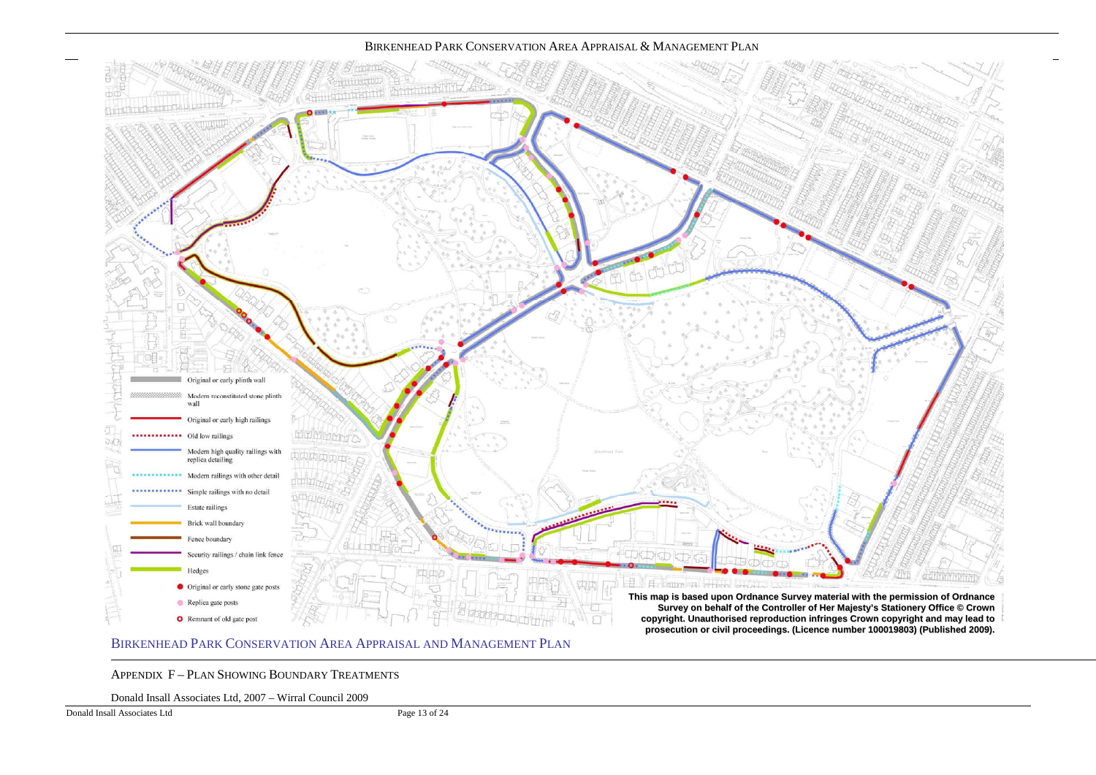APPENDIX F – <sup>P</sup>LAN SHOWING BOUNDARY TREATMENTS

Donald Insall Associates Ltd, 2007 – Wirral Council 2009

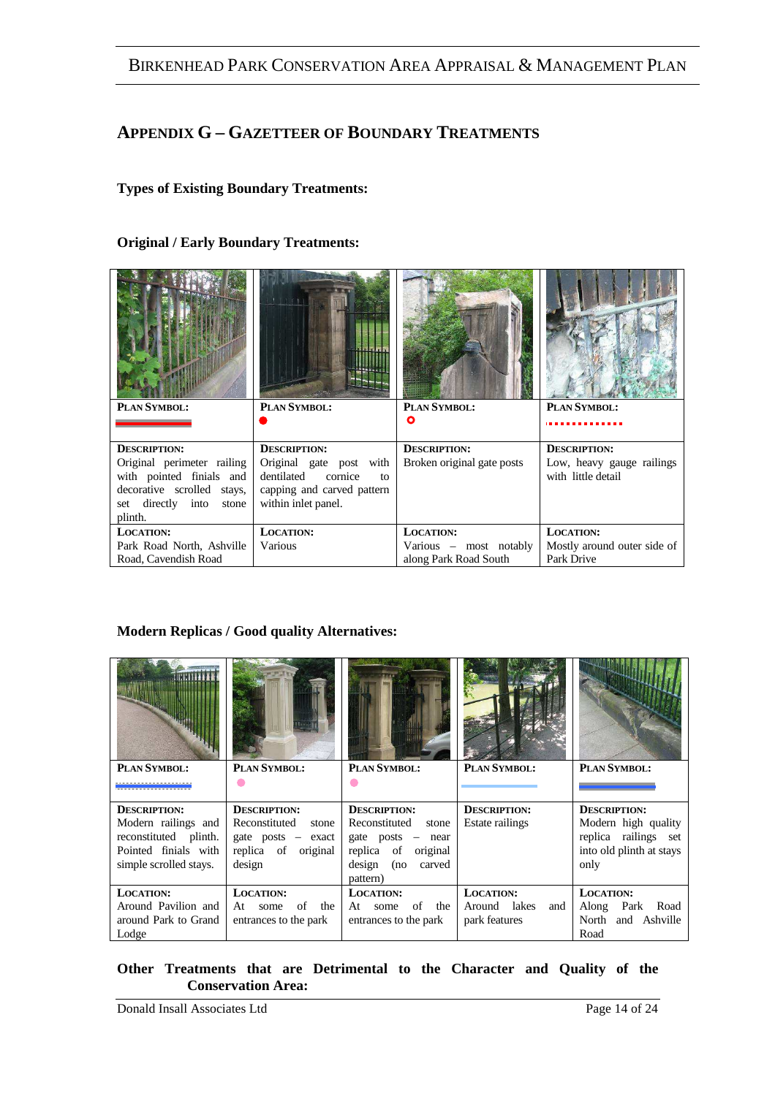### **APPENDIX G – GAZETTEER OF BOUNDARY TREATMENTS**

#### **Types of Existing Boundary Treatments:**

#### **Original / Early Boundary Treatments:**

|                                                                                                                               | 1111                                                                                                                  |                            |                                                 |
|-------------------------------------------------------------------------------------------------------------------------------|-----------------------------------------------------------------------------------------------------------------------|----------------------------|-------------------------------------------------|
| PLAN SYMBOL:                                                                                                                  | PLAN SYMBOL:                                                                                                          | PLAN SYMBOL:               | PLAN SYMBOL:                                    |
|                                                                                                                               |                                                                                                                       | Ο                          |                                                 |
| <b>DESCRIPTION:</b>                                                                                                           | <b>DESCRIPTION:</b>                                                                                                   | <b>DESCRIPTION:</b>        | <b>DESCRIPTION:</b>                             |
| Original perimeter railing<br>with pointed finials and<br>decorative scrolled stays,<br>set directly into<br>stone<br>plinth. | Original gate post with<br>dentilated<br>cornice<br>$f_{\Omega}$<br>capping and carved pattern<br>within inlet panel. | Broken original gate posts | Low, heavy gauge railings<br>with little detail |
| <b>LOCATION:</b>                                                                                                              | <b>LOCATION:</b>                                                                                                      | <b>LOCATION:</b>           | <b>LOCATION:</b>                                |
| Park Road North, Ashville                                                                                                     | Various                                                                                                               | Various – most notably     | Mostly around outer side of                     |
| Road, Cavendish Road                                                                                                          |                                                                                                                       | along Park Road South      | Park Drive                                      |

#### **Modern Replicas / Good quality Alternatives:**

| PLAN SYMBOL:           | PLAN SYMBOL:           | PLAN SYMBOL:               | PLAN SYMBOL:        | PLAN SYMBOL:             |
|------------------------|------------------------|----------------------------|---------------------|--------------------------|
|                        |                        |                            |                     |                          |
| <b>DESCRIPTION:</b>    | <b>DESCRIPTION:</b>    | <b>DESCRIPTION:</b>        | <b>DESCRIPTION:</b> | <b>DESCRIPTION:</b>      |
|                        |                        |                            |                     |                          |
| Modern railings and    | Reconstituted stone    | Reconstituted stone        | Estate railings     | Modern high quality      |
| reconstituted plinth.  | $gate$ posts $-$ exact | gate $\text{posts}$ – near |                     | replica railings set     |
| Pointed finials with   | replica of original    | replica of original        |                     | into old plinth at stays |
| simple scrolled stays. | design                 | design (no carved          |                     | only                     |
|                        |                        | pattern)                   |                     |                          |
| <b>LOCATION:</b>       | <b>LOCATION:</b>       | <b>LOCATION:</b>           | <b>LOCATION:</b>    | <b>LOCATION:</b>         |
| Around Pavilion and    | of<br>the<br>At some   | of the<br>At some          | Around lakes<br>and | Along Park Road          |
| around Park to Grand   | entrances to the park  | entrances to the park      | park features       | North and Ashville       |

#### **Other Treatments that are Detrimental to the Character and Quality of the Conservation Area:**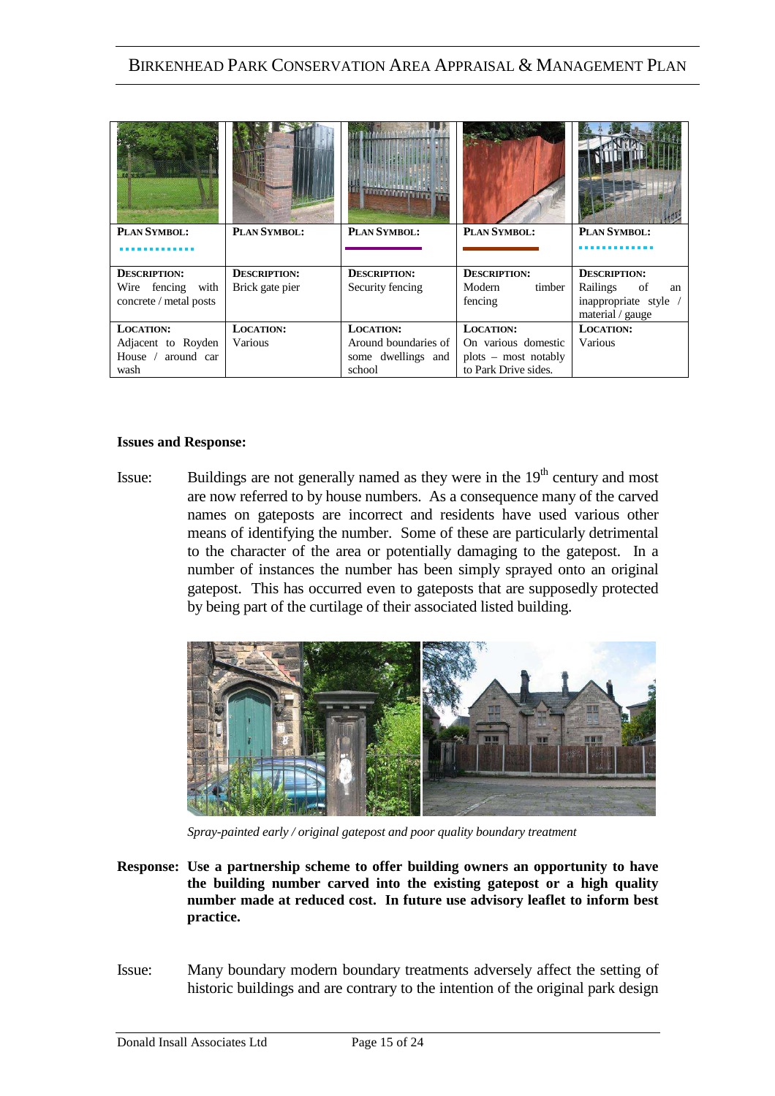| PLAN SYMBOL:           | PLAN SYMBOL:        | PLAN SYMBOL:         | PLAN SYMBOL:           | PLAN SYMBOL:          |
|------------------------|---------------------|----------------------|------------------------|-----------------------|
|                        |                     |                      |                        |                       |
| <b>DESCRIPTION:</b>    | <b>DESCRIPTION:</b> | <b>DESCRIPTION:</b>  | <b>DESCRIPTION:</b>    | <b>DESCRIPTION:</b>   |
| Wire fencing<br>with   | Brick gate pier     | Security fencing     | Modern<br>timber       | Railings<br>οf<br>an  |
| concrete / metal posts |                     |                      | fencing                | inappropriate style / |
|                        |                     |                      |                        | material / gauge      |
| <b>LOCATION:</b>       | <b>LOCATION:</b>    | <b>LOCATION:</b>     | LOCATION:              | <b>LOCATION:</b>      |
| Adjacent to Royden     | Various             | Around boundaries of | On various domestic    | Various               |
| House / around car     |                     | some dwellings and   | $plots$ – most notably |                       |
| wash                   |                     | school               | to Park Drive sides.   |                       |

#### **Issues and Response:**

Issue: Buildings are not generally named as they were in the 19<sup>th</sup> century and most are now referred to by house numbers. As a consequence many of the carved names on gateposts are incorrect and residents have used various other means of identifying the number. Some of these are particularly detrimental to the character of the area or potentially damaging to the gatepost. In a number of instances the number has been simply sprayed onto an original gatepost. This has occurred even to gateposts that are supposedly protected by being part of the curtilage of their associated listed building.



*Spray-painted early / original gatepost and poor quality boundary treatment* 

- **Response: Use a partnership scheme to offer building owners an opportunity to have the building number carved into the existing gatepost or a high quality number made at reduced cost. In future use advisory leaflet to inform best practice.**
- Issue: Many boundary modern boundary treatments adversely affect the setting of historic buildings and are contrary to the intention of the original park design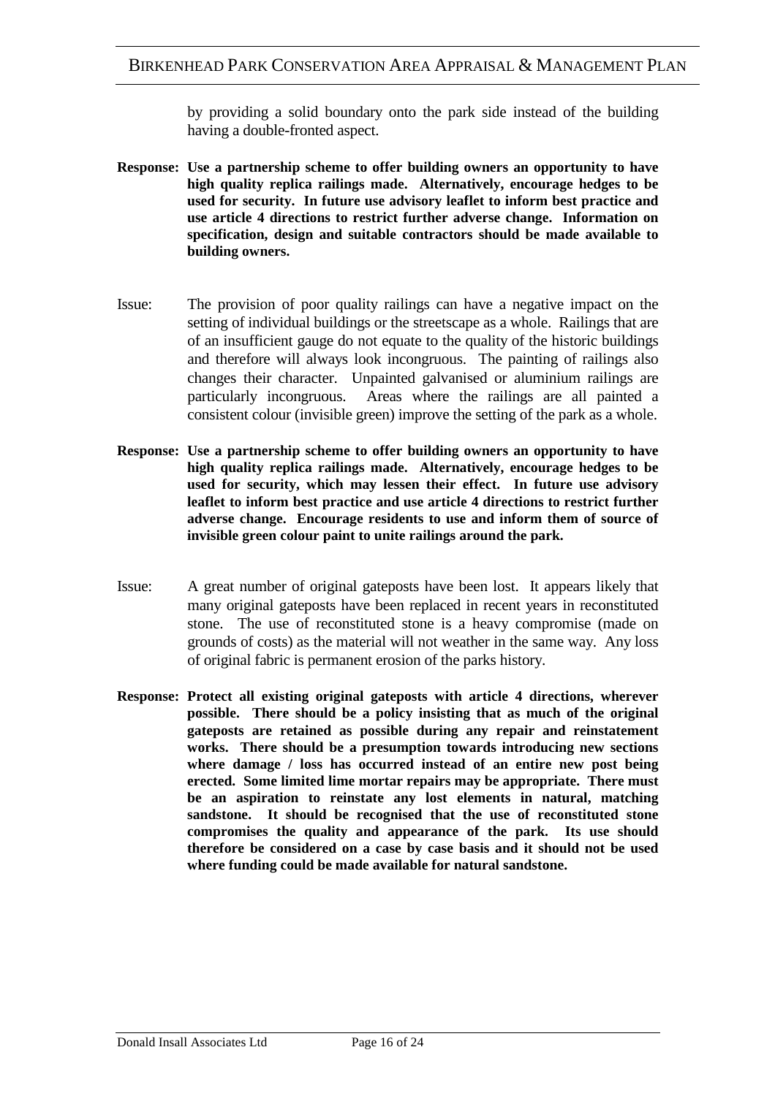by providing a solid boundary onto the park side instead of the building having a double-fronted aspect.

- **Response: Use a partnership scheme to offer building owners an opportunity to have high quality replica railings made. Alternatively, encourage hedges to be used for security. In future use advisory leaflet to inform best practice and use article 4 directions to restrict further adverse change. Information on specification, design and suitable contractors should be made available to building owners.**
- Issue: The provision of poor quality railings can have a negative impact on the setting of individual buildings or the streetscape as a whole. Railings that are of an insufficient gauge do not equate to the quality of the historic buildings and therefore will always look incongruous. The painting of railings also changes their character. Unpainted galvanised or aluminium railings are particularly incongruous. Areas where the railings are all painted a consistent colour (invisible green) improve the setting of the park as a whole.
- **Response: Use a partnership scheme to offer building owners an opportunity to have high quality replica railings made. Alternatively, encourage hedges to be used for security, which may lessen their effect. In future use advisory leaflet to inform best practice and use article 4 directions to restrict further adverse change. Encourage residents to use and inform them of source of invisible green colour paint to unite railings around the park.**
- Issue: A great number of original gateposts have been lost. It appears likely that many original gateposts have been replaced in recent years in reconstituted stone. The use of reconstituted stone is a heavy compromise (made on grounds of costs) as the material will not weather in the same way. Any loss of original fabric is permanent erosion of the parks history.
- **Response: Protect all existing original gateposts with article 4 directions, wherever possible. There should be a policy insisting that as much of the original gateposts are retained as possible during any repair and reinstatement works. There should be a presumption towards introducing new sections where damage / loss has occurred instead of an entire new post being erected. Some limited lime mortar repairs may be appropriate. There must be an aspiration to reinstate any lost elements in natural, matching sandstone. It should be recognised that the use of reconstituted stone compromises the quality and appearance of the park. Its use should therefore be considered on a case by case basis and it should not be used where funding could be made available for natural sandstone.**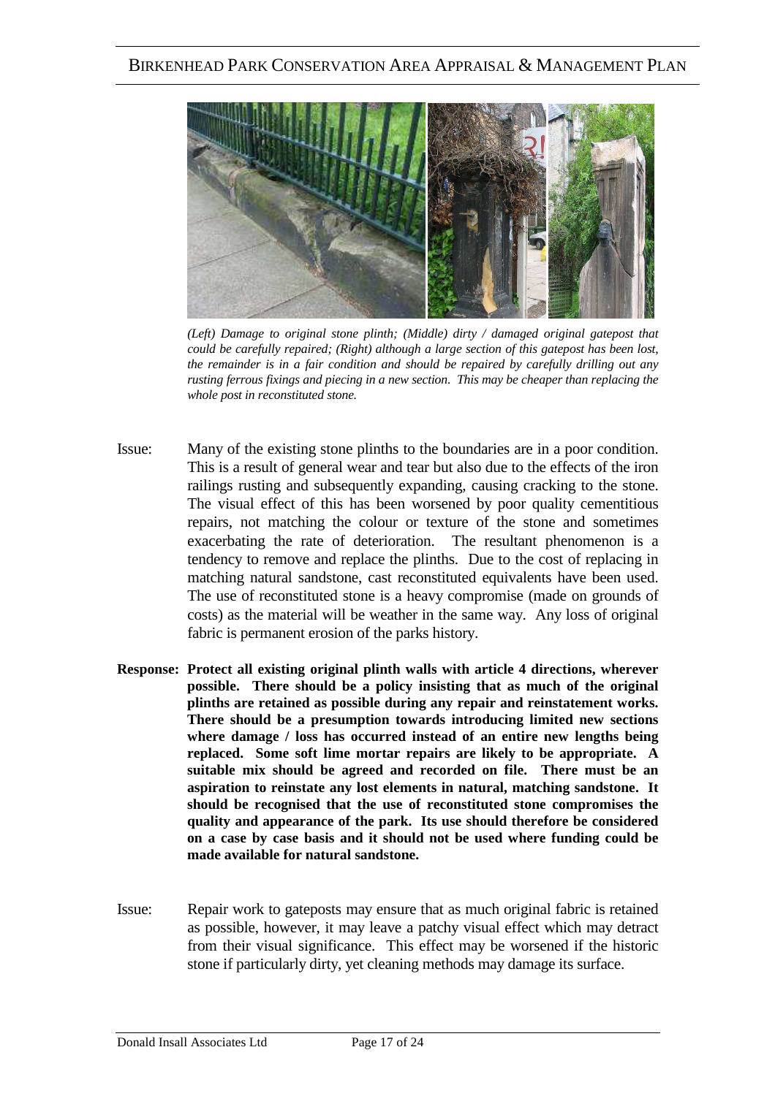

*(Left) Damage to original stone plinth; (Middle) dirty / damaged original gatepost that could be carefully repaired; (Right) although a large section of this gatepost has been lost, the remainder is in a fair condition and should be repaired by carefully drilling out any rusting ferrous fixings and piecing in a new section. This may be cheaper than replacing the whole post in reconstituted stone.* 

- Issue: Many of the existing stone plinths to the boundaries are in a poor condition. This is a result of general wear and tear but also due to the effects of the iron railings rusting and subsequently expanding, causing cracking to the stone. The visual effect of this has been worsened by poor quality cementitious repairs, not matching the colour or texture of the stone and sometimes exacerbating the rate of deterioration. The resultant phenomenon is a tendency to remove and replace the plinths. Due to the cost of replacing in matching natural sandstone, cast reconstituted equivalents have been used. The use of reconstituted stone is a heavy compromise (made on grounds of costs) as the material will be weather in the same way. Any loss of original fabric is permanent erosion of the parks history.
- **Response: Protect all existing original plinth walls with article 4 directions, wherever possible. There should be a policy insisting that as much of the original plinths are retained as possible during any repair and reinstatement works. There should be a presumption towards introducing limited new sections where damage / loss has occurred instead of an entire new lengths being replaced. Some soft lime mortar repairs are likely to be appropriate. A suitable mix should be agreed and recorded on file. There must be an aspiration to reinstate any lost elements in natural, matching sandstone. It should be recognised that the use of reconstituted stone compromises the quality and appearance of the park. Its use should therefore be considered on a case by case basis and it should not be used where funding could be made available for natural sandstone.**
- Issue: Repair work to gateposts may ensure that as much original fabric is retained as possible, however, it may leave a patchy visual effect which may detract from their visual significance. This effect may be worsened if the historic stone if particularly dirty, yet cleaning methods may damage its surface.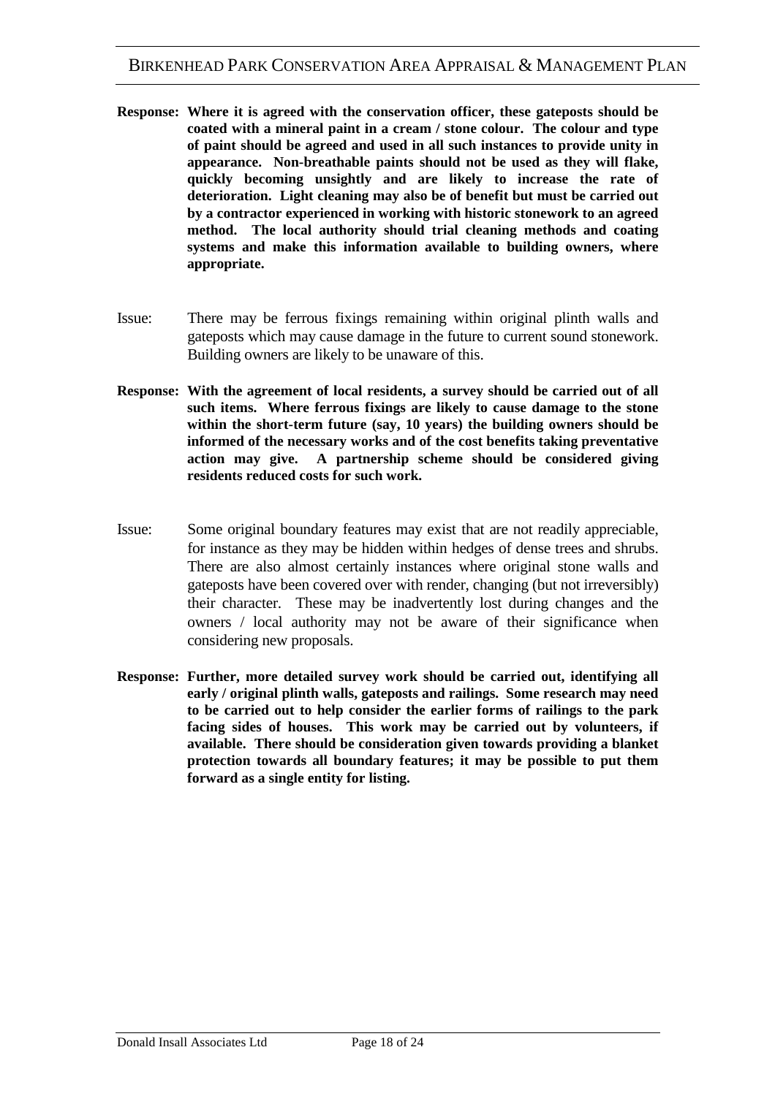- **Response: Where it is agreed with the conservation officer, these gateposts should be coated with a mineral paint in a cream / stone colour. The colour and type of paint should be agreed and used in all such instances to provide unity in appearance. Non-breathable paints should not be used as they will flake, quickly becoming unsightly and are likely to increase the rate of deterioration. Light cleaning may also be of benefit but must be carried out by a contractor experienced in working with historic stonework to an agreed method. The local authority should trial cleaning methods and coating systems and make this information available to building owners, where appropriate.**
- Issue: There may be ferrous fixings remaining within original plinth walls and gateposts which may cause damage in the future to current sound stonework. Building owners are likely to be unaware of this.
- **Response: With the agreement of local residents, a survey should be carried out of all such items. Where ferrous fixings are likely to cause damage to the stone within the short-term future (say, 10 years) the building owners should be informed of the necessary works and of the cost benefits taking preventative action may give. A partnership scheme should be considered giving residents reduced costs for such work.**
- Issue: Some original boundary features may exist that are not readily appreciable, for instance as they may be hidden within hedges of dense trees and shrubs. There are also almost certainly instances where original stone walls and gateposts have been covered over with render, changing (but not irreversibly) their character. These may be inadvertently lost during changes and the owners / local authority may not be aware of their significance when considering new proposals.
- **Response: Further, more detailed survey work should be carried out, identifying all early / original plinth walls, gateposts and railings. Some research may need to be carried out to help consider the earlier forms of railings to the park facing sides of houses. This work may be carried out by volunteers, if available. There should be consideration given towards providing a blanket protection towards all boundary features; it may be possible to put them forward as a single entity for listing.**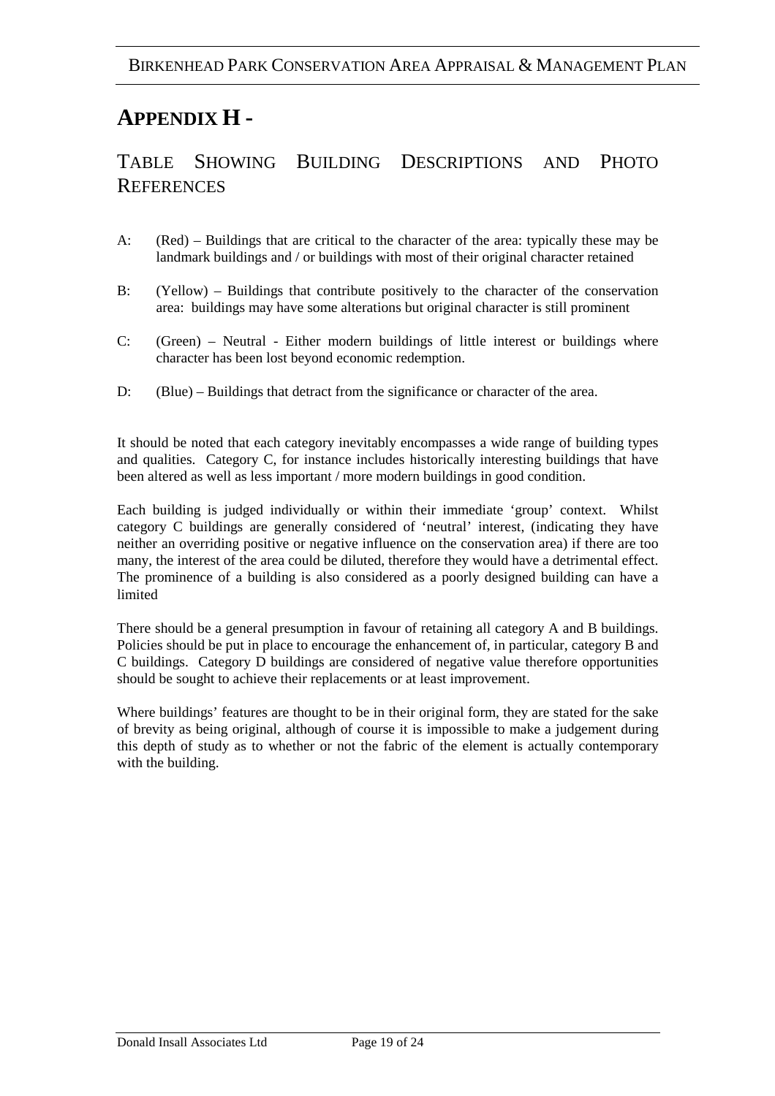# **APPENDIX H -**

### TABLE SHOWING BUILDING DESCRIPTIONS AND PHOTO **REFERENCES**

- A: (Red) Buildings that are critical to the character of the area: typically these may be landmark buildings and / or buildings with most of their original character retained
- B: (Yellow) Buildings that contribute positively to the character of the conservation area: buildings may have some alterations but original character is still prominent
- C: (Green) Neutral Either modern buildings of little interest or buildings where character has been lost beyond economic redemption.
- D: (Blue) Buildings that detract from the significance or character of the area.

It should be noted that each category inevitably encompasses a wide range of building types and qualities. Category C, for instance includes historically interesting buildings that have been altered as well as less important / more modern buildings in good condition.

Each building is judged individually or within their immediate 'group' context. Whilst category C buildings are generally considered of 'neutral' interest, (indicating they have neither an overriding positive or negative influence on the conservation area) if there are too many, the interest of the area could be diluted, therefore they would have a detrimental effect. The prominence of a building is also considered as a poorly designed building can have a limited

There should be a general presumption in favour of retaining all category A and B buildings. Policies should be put in place to encourage the enhancement of, in particular, category B and C buildings. Category D buildings are considered of negative value therefore opportunities should be sought to achieve their replacements or at least improvement.

Where buildings' features are thought to be in their original form, they are stated for the sake of brevity as being original, although of course it is impossible to make a judgement during this depth of study as to whether or not the fabric of the element is actually contemporary with the building.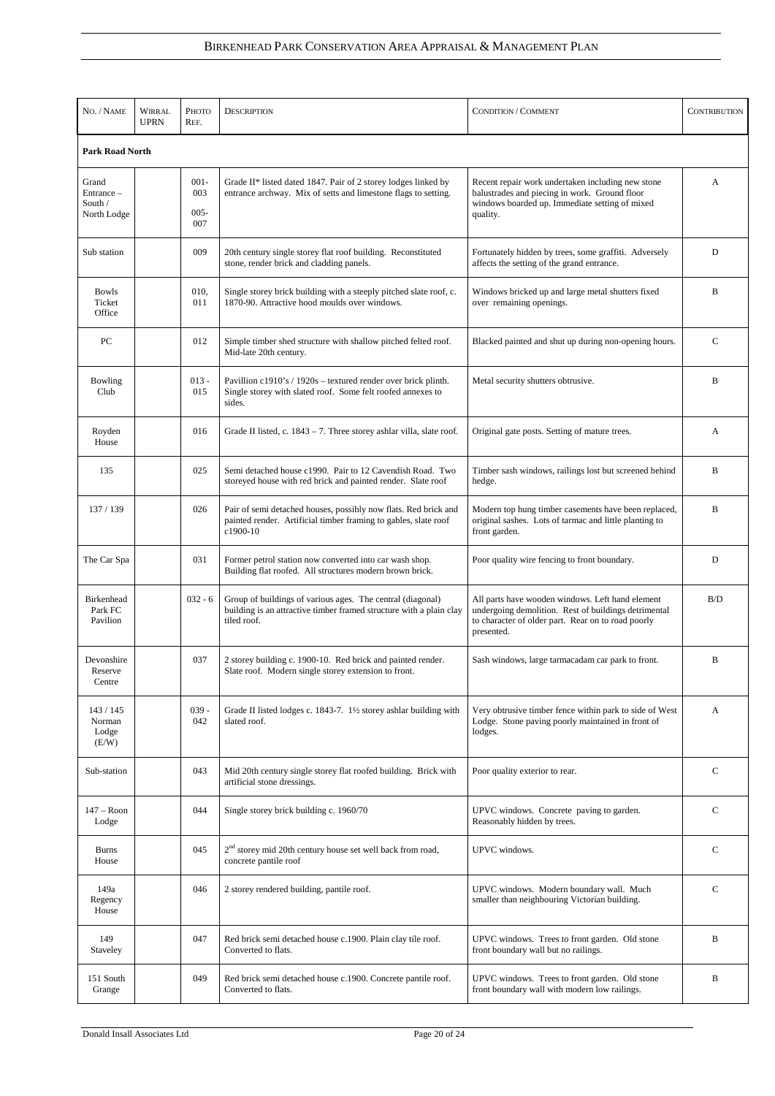| NO. / NAME                                    | <b>WIRRAL</b><br><b>UPRN</b> | Рното<br>REF.                    | <b>DESCRIPTION</b>                                                                                                                               | <b>CONDITION / COMMENT</b>                                                                                                                                                   | <b>CONTRIBUTION</b> |  |  |  |
|-----------------------------------------------|------------------------------|----------------------------------|--------------------------------------------------------------------------------------------------------------------------------------------------|------------------------------------------------------------------------------------------------------------------------------------------------------------------------------|---------------------|--|--|--|
|                                               | <b>Park Road North</b>       |                                  |                                                                                                                                                  |                                                                                                                                                                              |                     |  |  |  |
| Grand<br>Entrance -<br>South /<br>North Lodge |                              | $001 -$<br>003<br>$005 -$<br>007 | Grade II* listed dated 1847. Pair of 2 storey lodges linked by<br>entrance archway. Mix of setts and limestone flags to setting.                 | Recent repair work undertaken including new stone<br>balustrades and piecing in work. Ground floor<br>windows boarded up. Immediate setting of mixed<br>quality.             | A                   |  |  |  |
| Sub station                                   |                              | 009                              | 20th century single storey flat roof building. Reconstituted<br>stone, render brick and cladding panels.                                         | Fortunately hidden by trees, some graffiti. Adversely<br>affects the setting of the grand entrance.                                                                          | D                   |  |  |  |
| <b>Bowls</b><br>Ticket<br>Office              |                              | 010,<br>011                      | Single storey brick building with a steeply pitched slate roof, c.<br>1870-90. Attractive hood moulds over windows.                              | Windows bricked up and large metal shutters fixed<br>over remaining openings.                                                                                                | B                   |  |  |  |
| PC                                            |                              | 012                              | Simple timber shed structure with shallow pitched felted roof.<br>Mid-late 20th century.                                                         | Blacked painted and shut up during non-opening hours.                                                                                                                        | C                   |  |  |  |
| Bowling<br>Club                               |                              | $013 -$<br>015                   | Pavillion c1910's / 1920s – textured render over brick plinth.<br>Single storey with slated roof. Some felt roofed annexes to<br>sides.          | Metal security shutters obtrusive.                                                                                                                                           | B                   |  |  |  |
| Royden<br>House                               |                              | 016                              | Grade II listed, c. $1843 - 7$ . Three storey ashlar villa, slate roof.                                                                          | Original gate posts. Setting of mature trees.                                                                                                                                | A                   |  |  |  |
| 135                                           |                              | 025                              | Semi detached house c1990. Pair to 12 Cavendish Road. Two<br>storeyed house with red brick and painted render. Slate roof                        | Timber sash windows, railings lost but screened behind<br>hedge.                                                                                                             | B                   |  |  |  |
| 137 / 139                                     |                              | 026                              | Pair of semi detached houses, possibly now flats. Red brick and<br>painted render. Artificial timber framing to gables, slate roof<br>c1900-10   | Modern top hung timber casements have been replaced,<br>original sashes. Lots of tarmac and little planting to<br>front garden.                                              | B                   |  |  |  |
| The Car Spa                                   |                              | 031                              | Former petrol station now converted into car wash shop.<br>Building flat roofed. All structures modern brown brick.                              | Poor quality wire fencing to front boundary.                                                                                                                                 | D                   |  |  |  |
| Birkenhead<br>Park FC<br>Pavilion             |                              | $032 - 6$                        | Group of buildings of various ages. The central (diagonal)<br>building is an attractive timber framed structure with a plain clay<br>tiled roof. | All parts have wooden windows. Left hand element<br>undergoing demolition. Rest of buildings detrimental<br>to character of older part. Rear on to road poorly<br>presented. | B/D                 |  |  |  |
| Devonshire<br>Reserve<br>Centre               |                              | 037                              | 2 storey building c. 1900-10. Red brick and painted render.<br>Slate roof. Modern single storey extension to front.                              | Sash windows, large tarmacadam car park to front.                                                                                                                            | B                   |  |  |  |
| 143/145<br>Norman<br>Lodge<br>(E/W)           |                              | $039 -$<br>042                   | Grade II listed lodges c. 1843-7. 1½ storey ashlar building with<br>slated roof.                                                                 | Very obtrusive timber fence within park to side of West<br>Lodge. Stone paving poorly maintained in front of<br>lodges.                                                      | A                   |  |  |  |
| Sub-station                                   |                              | 043                              | Mid 20th century single storey flat roofed building. Brick with<br>artificial stone dressings.                                                   | Poor quality exterior to rear.                                                                                                                                               | $\mathcal{C}$       |  |  |  |
| $147 -$ Roon<br>Lodge                         |                              | 044                              | Single storey brick building c. 1960/70                                                                                                          | UPVC windows. Concrete paving to garden.<br>Reasonably hidden by trees.                                                                                                      | $\mathsf{C}$        |  |  |  |
| <b>Burns</b><br>House                         |                              | 045                              | $2nd$ storey mid 20th century house set well back from road,<br>concrete pantile roof                                                            | UPVC windows.                                                                                                                                                                | $\mathsf{C}$        |  |  |  |
| 149a<br>Regency<br>House                      |                              | 046                              | 2 storey rendered building, pantile roof.                                                                                                        | UPVC windows. Modern boundary wall. Much<br>smaller than neighbouring Victorian building.                                                                                    | $\mathsf{C}$        |  |  |  |
| 149<br>Staveley                               |                              | 047                              | Red brick semi detached house c.1900. Plain clay tile roof.<br>Converted to flats.                                                               | UPVC windows. Trees to front garden. Old stone<br>front boundary wall but no railings.                                                                                       | B                   |  |  |  |
| 151 South<br>Grange                           |                              | 049                              | Red brick semi detached house c.1900. Concrete pantile roof.<br>Converted to flats.                                                              | UPVC windows. Trees to front garden. Old stone<br>front boundary wall with modern low railings.                                                                              | B                   |  |  |  |

Donald Insall Associates Ltd Page 20 of 24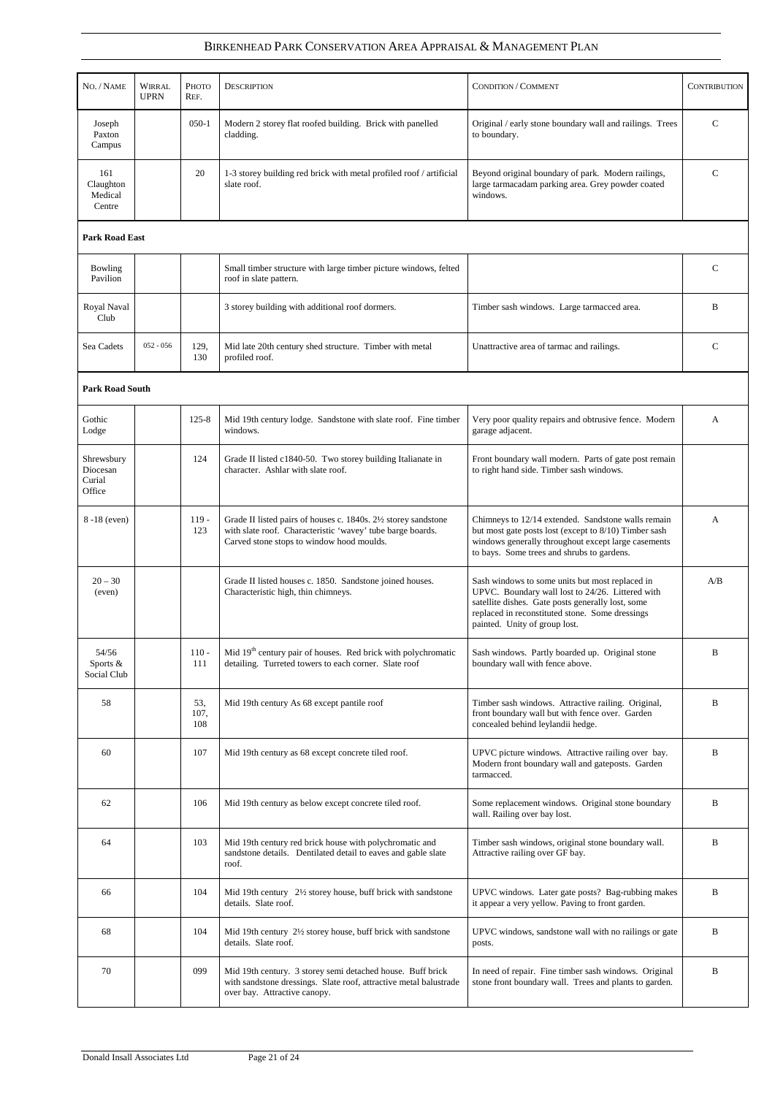| NO. / NAME                                 | <b>WIRRAL</b><br><b>UPRN</b> | Рното<br>REF.      | <b>DESCRIPTION</b>                                                                                                                                                         | <b>CONDITION / COMMENT</b>                                                                                                                                                                                                                   | <b>CONTRIBUTION</b> |
|--------------------------------------------|------------------------------|--------------------|----------------------------------------------------------------------------------------------------------------------------------------------------------------------------|----------------------------------------------------------------------------------------------------------------------------------------------------------------------------------------------------------------------------------------------|---------------------|
| Joseph<br>Paxton<br>Campus                 |                              | $050 - 1$          | Modern 2 storey flat roofed building. Brick with panelled<br>cladding.                                                                                                     | Original / early stone boundary wall and railings. Trees<br>to boundary.                                                                                                                                                                     | $\mathsf{C}$        |
| 161<br>Claughton<br>Medical<br>Centre      |                              | 20                 | 1-3 storey building red brick with metal profiled roof / artificial<br>slate roof.                                                                                         | Beyond original boundary of park. Modern railings,<br>large tarmacadam parking area. Grey powder coated<br>windows.                                                                                                                          | $\mathsf{C}$        |
| <b>Park Road East</b>                      |                              |                    |                                                                                                                                                                            |                                                                                                                                                                                                                                              |                     |
| <b>Bowling</b><br>Pavilion                 |                              |                    | Small timber structure with large timber picture windows, felted<br>roof in slate pattern.                                                                                 |                                                                                                                                                                                                                                              | $\mathsf{C}$        |
| Royal Naval<br>Club                        |                              |                    | 3 storey building with additional roof dormers.                                                                                                                            | Timber sash windows. Large tarmacced area.                                                                                                                                                                                                   | B                   |
| Sea Cadets                                 | $052 - 056$                  | 129,<br>130        | Mid late 20th century shed structure. Timber with metal<br>profiled roof.                                                                                                  | Unattractive area of tarmac and railings.                                                                                                                                                                                                    | $\mathsf{C}$        |
| <b>Park Road South</b>                     |                              |                    |                                                                                                                                                                            |                                                                                                                                                                                                                                              |                     |
| Gothic<br>Lodge                            |                              | $125 - 8$          | Mid 19th century lodge. Sandstone with slate roof. Fine timber<br>windows.                                                                                                 | Very poor quality repairs and obtrusive fence. Modern<br>garage adjacent.                                                                                                                                                                    | A                   |
| Shrewsbury<br>Diocesan<br>Curial<br>Office |                              | 124                | Grade II listed c1840-50. Two storey building Italianate in<br>character. Ashlar with slate roof.                                                                          | Front boundary wall modern. Parts of gate post remain<br>to right hand side. Timber sash windows.                                                                                                                                            |                     |
| 8-18 (even)                                |                              | $119 -$<br>123     | Grade II listed pairs of houses c. 1840s. 21/2 storey sandstone<br>with slate roof. Characteristic 'wavey' tube barge boards.<br>Carved stone stops to window hood moulds. | Chimneys to 12/14 extended. Sandstone walls remain<br>but most gate posts lost (except to 8/10) Timber sash<br>windows generally throughout except large casements<br>to bays. Some trees and shrubs to gardens.                             | A                   |
| $20 - 30$<br>(even)                        |                              |                    | Grade II listed houses c. 1850. Sandstone joined houses.<br>Characteristic high, thin chimneys.                                                                            | Sash windows to some units but most replaced in<br>UPVC. Boundary wall lost to 24/26. Littered with<br>satellite dishes. Gate posts generally lost, some<br>replaced in reconstituted stone. Some dressings<br>painted. Unity of group lost. | A/B                 |
| 54/56<br>Sports &<br>Social Club           |                              | $110 -$<br>111     | Mid $19th$ century pair of houses. Red brick with polychromatic<br>detailing. Turreted towers to each corner. Slate roof                                                   | Sash windows. Partly boarded up. Original stone<br>boundary wall with fence above.                                                                                                                                                           | B                   |
| 58                                         |                              | 53,<br>107,<br>108 | Mid 19th century As 68 except pantile roof                                                                                                                                 | Timber sash windows. Attractive railing. Original,<br>front boundary wall but with fence over. Garden<br>concealed behind leylandii hedge.                                                                                                   | B                   |
| 60                                         |                              | 107                | Mid 19th century as 68 except concrete tiled roof.                                                                                                                         | UPVC picture windows. Attractive railing over bay.<br>Modern front boundary wall and gateposts. Garden<br>tarmacced.                                                                                                                         | B                   |
| 62                                         |                              | 106                | Mid 19th century as below except concrete tiled roof.                                                                                                                      | Some replacement windows. Original stone boundary<br>wall. Railing over bay lost.                                                                                                                                                            | B                   |
| 64                                         |                              | 103                | Mid 19th century red brick house with polychromatic and<br>sandstone details. Dentilated detail to eaves and gable slate<br>roof.                                          | Timber sash windows, original stone boundary wall.<br>Attractive railing over GF bay.                                                                                                                                                        | B                   |
| 66                                         |                              | 104                | Mid 19th century 2½ storey house, buff brick with sandstone<br>details. Slate roof.                                                                                        | UPVC windows. Later gate posts? Bag-rubbing makes<br>it appear a very yellow. Paving to front garden.                                                                                                                                        | B                   |
| 68                                         |                              | 104                | Mid 19th century 21/2 storey house, buff brick with sandstone<br>details. Slate roof.                                                                                      | UPVC windows, sandstone wall with no railings or gate<br>posts.                                                                                                                                                                              | B                   |
| 70                                         |                              | 099                | Mid 19th century. 3 storey semi detached house. Buff brick<br>with sandstone dressings. Slate roof, attractive metal balustrade<br>over bay. Attractive canopy.            | In need of repair. Fine timber sash windows. Original<br>stone front boundary wall. Trees and plants to garden.                                                                                                                              | B                   |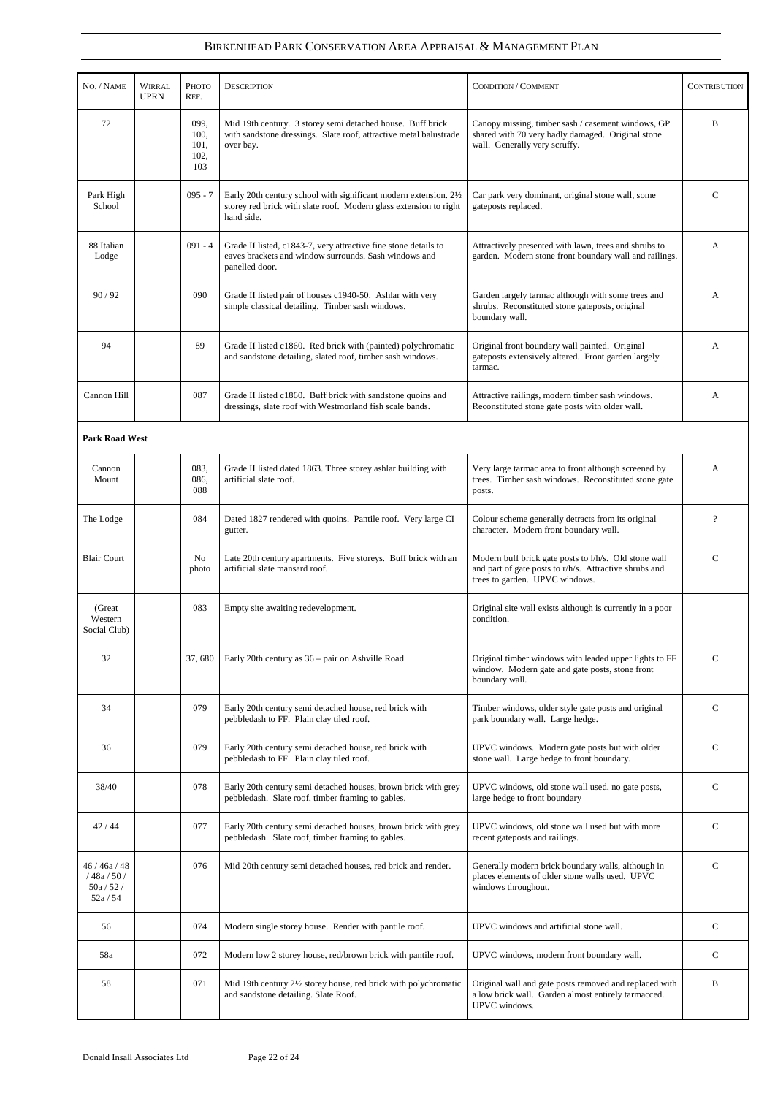| NO. / NAME                                    | <b>WIRRAL</b><br><b>UPRN</b> | Рното<br>REF.                       | <b>DESCRIPTION</b>                                                                                                                                   | <b>CONDITION / COMMENT</b>                                                                                                                        | <b>CONTRIBUTION</b>      |
|-----------------------------------------------|------------------------------|-------------------------------------|------------------------------------------------------------------------------------------------------------------------------------------------------|---------------------------------------------------------------------------------------------------------------------------------------------------|--------------------------|
| 72                                            |                              | 099,<br>100,<br>101,<br>102,<br>103 | Mid 19th century. 3 storey semi detached house. Buff brick<br>with sandstone dressings. Slate roof, attractive metal balustrade<br>over bay.         | Canopy missing, timber sash / casement windows, GP<br>shared with 70 very badly damaged. Original stone<br>wall. Generally very scruffy.          | B                        |
| Park High<br>School                           |                              | $095 - 7$                           | Early 20th century school with significant modern extension. 21/2<br>storey red brick with slate roof. Modern glass extension to right<br>hand side. | Car park very dominant, original stone wall, some<br>gateposts replaced.                                                                          | C                        |
| 88 Italian<br>Lodge                           |                              | $091 - 4$                           | Grade II listed, c1843-7, very attractive fine stone details to<br>eaves brackets and window surrounds. Sash windows and<br>panelled door.           | Attractively presented with lawn, trees and shrubs to<br>garden. Modern stone front boundary wall and railings.                                   | A                        |
| 90/92                                         |                              | 090                                 | Grade II listed pair of houses c1940-50. Ashlar with very<br>simple classical detailing. Timber sash windows.                                        | Garden largely tarmac although with some trees and<br>shrubs. Reconstituted stone gateposts, original<br>boundary wall.                           | A                        |
| 94                                            |                              | 89                                  | Grade II listed c1860. Red brick with (painted) polychromatic<br>and sandstone detailing, slated roof, timber sash windows.                          | Original front boundary wall painted. Original<br>gateposts extensively altered. Front garden largely<br>tarmac.                                  | A                        |
| Cannon Hill                                   |                              | 087                                 | Grade II listed c1860. Buff brick with sandstone quoins and<br>dressings, slate roof with Westmorland fish scale bands.                              | Attractive railings, modern timber sash windows.<br>Reconstituted stone gate posts with older wall.                                               | A                        |
| <b>Park Road West</b>                         |                              |                                     |                                                                                                                                                      |                                                                                                                                                   |                          |
| Cannon<br>Mount                               |                              | 083,<br>086,<br>088                 | Grade II listed dated 1863. Three storey ashlar building with<br>artificial slate roof.                                                              | Very large tarmac area to front although screened by<br>trees. Timber sash windows. Reconstituted stone gate<br>posts.                            | A                        |
| The Lodge                                     |                              | 084                                 | Dated 1827 rendered with quoins. Pantile roof. Very large CI<br>gutter.                                                                              | Colour scheme generally detracts from its original<br>character. Modern front boundary wall.                                                      | $\overline{\mathcal{L}}$ |
| <b>Blair Court</b>                            |                              | No<br>photo                         | Late 20th century apartments. Five storeys. Buff brick with an<br>artificial slate mansard roof.                                                     | Modern buff brick gate posts to l/h/s. Old stone wall<br>and part of gate posts to r/h/s. Attractive shrubs and<br>trees to garden. UPVC windows. | $\mathsf{C}$             |
| (Great<br>Western<br>Social Club)             |                              | 083                                 | Empty site awaiting redevelopment.                                                                                                                   | Original site wall exists although is currently in a poor<br>condition.                                                                           |                          |
| 32                                            |                              | 37,680                              | Early 20th century as 36 – pair on Ashville Road                                                                                                     | Original timber windows with leaded upper lights to FF<br>window. Modern gate and gate posts, stone front<br>boundary wall.                       | $\mathsf{C}$             |
| 34                                            |                              | 079                                 | Early 20th century semi detached house, red brick with<br>pebbledash to FF. Plain clay tiled roof.                                                   | Timber windows, older style gate posts and original<br>park boundary wall. Large hedge.                                                           | $\mathcal{C}$            |
| 36                                            |                              | 079                                 | Early 20th century semi detached house, red brick with<br>pebbledash to FF. Plain clay tiled roof.                                                   | UPVC windows. Modern gate posts but with older<br>stone wall. Large hedge to front boundary.                                                      | C                        |
| 38/40                                         |                              | 078                                 | Early 20th century semi detached houses, brown brick with grey<br>pebbledash. Slate roof, timber framing to gables.                                  | UPVC windows, old stone wall used, no gate posts,<br>large hedge to front boundary                                                                | $\mathsf{C}$             |
| 42/44                                         |                              | 077                                 | Early 20th century semi detached houses, brown brick with grey<br>pebbledash. Slate roof, timber framing to gables.                                  | UPVC windows, old stone wall used but with more<br>recent gateposts and railings.                                                                 | $\mathsf{C}$             |
| 46/46a/48<br>/48a/50/<br>50a / 52 /<br>52a/54 |                              | 076                                 | Mid 20th century semi detached houses, red brick and render.                                                                                         | Generally modern brick boundary walls, although in<br>places elements of older stone walls used. UPVC<br>windows throughout.                      | $\mathbf C$              |
| 56                                            |                              | 074                                 | Modern single storey house. Render with pantile roof.                                                                                                | UPVC windows and artificial stone wall.                                                                                                           | $\mathcal{C}$            |
| 58a                                           |                              | 072                                 | Modern low 2 storey house, red/brown brick with pantile roof.                                                                                        | UPVC windows, modern front boundary wall.                                                                                                         | $\mathbf C$              |
| 58                                            |                              | 071                                 | Mid 19th century 21/2 storey house, red brick with polychromatic<br>and sandstone detailing. Slate Roof.                                             | Original wall and gate posts removed and replaced with<br>a low brick wall. Garden almost entirely tarmacced.<br>UPVC windows.                    | B                        |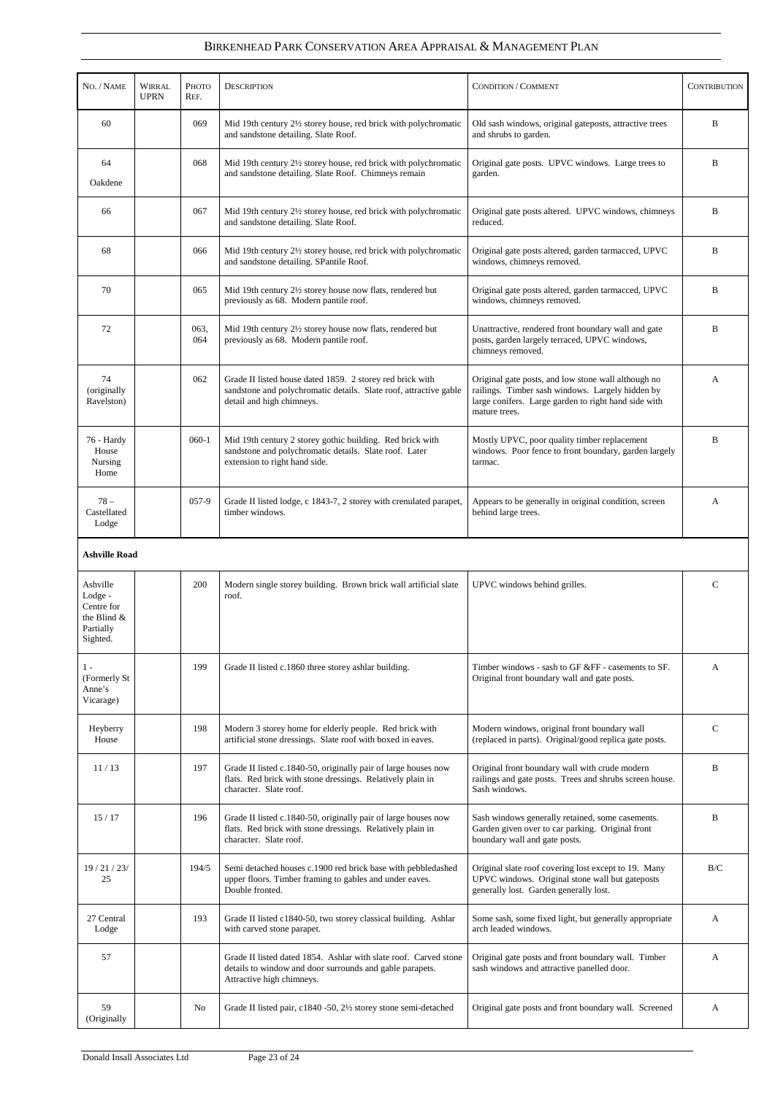| NO. / NAME                                                                  | <b>WIRRAL</b><br><b>UPRN</b> | Рното<br>REF.  | <b>DESCRIPTION</b>                                                                                                                                          | <b>CONDITION / COMMENT</b>                                                                                                                                                       | <b>CONTRIBUTION</b> |
|-----------------------------------------------------------------------------|------------------------------|----------------|-------------------------------------------------------------------------------------------------------------------------------------------------------------|----------------------------------------------------------------------------------------------------------------------------------------------------------------------------------|---------------------|
| 60                                                                          |                              | 069            | Mid 19th century 21/2 storey house, red brick with polychromatic<br>and sandstone detailing. Slate Roof.                                                    | Old sash windows, original gateposts, attractive trees<br>and shrubs to garden.                                                                                                  | B                   |
| 64<br>Oakdene                                                               |                              | 068            | Mid 19th century 21/2 storey house, red brick with polychromatic<br>and sandstone detailing. Slate Roof. Chimneys remain                                    | Original gate posts. UPVC windows. Large trees to<br>garden.                                                                                                                     | B                   |
| 66                                                                          |                              | 067            | Mid 19th century 21/2 storey house, red brick with polychromatic<br>and sandstone detailing. Slate Roof.                                                    | Original gate posts altered. UPVC windows, chimneys<br>reduced.                                                                                                                  | B                   |
| 68                                                                          |                              | 066            | Mid 19th century 2½ storey house, red brick with polychromatic<br>and sandstone detailing. SPantile Roof.                                                   | Original gate posts altered, garden tarmacced, UPVC<br>windows, chimneys removed.                                                                                                | B                   |
| 70                                                                          |                              | 065            | Mid 19th century 21/2 storey house now flats, rendered but<br>previously as 68. Modern pantile roof.                                                        | Original gate posts altered, garden tarmacced, UPVC<br>windows, chimneys removed.                                                                                                | B                   |
| 72                                                                          |                              | 063,<br>064    | Mid 19th century 21/2 storey house now flats, rendered but<br>previously as 68. Modern pantile roof.                                                        | Unattractive, rendered front boundary wall and gate<br>posts, garden largely terraced, UPVC windows,<br>chimneys removed.                                                        | B                   |
| 74<br>(originally<br>Ravelston)                                             |                              | 062            | Grade II listed house dated 1859. 2 storey red brick with<br>sandstone and polychromatic details. Slate roof, attractive gable<br>detail and high chimneys. | Original gate posts, and low stone wall although no<br>railings. Timber sash windows. Largely hidden by<br>large conifers. Large garden to right hand side with<br>mature trees. | A                   |
| 76 - Hardy<br>House<br>Nursing<br>Home                                      |                              | $060-1$        | Mid 19th century 2 storey gothic building. Red brick with<br>sandstone and polychromatic details. Slate roof. Later<br>extension to right hand side.        | Mostly UPVC, poor quality timber replacement<br>windows. Poor fence to front boundary, garden largely<br>tarmac.                                                                 | B                   |
| $78 -$<br>Castellated<br>Lodge                                              |                              | 057-9          | Grade II listed lodge, c 1843-7, 2 storey with crenulated parapet,<br>timber windows.                                                                       | Appears to be generally in original condition, screen<br>behind large trees.                                                                                                     | A                   |
| <b>Ashville Road</b>                                                        |                              |                |                                                                                                                                                             |                                                                                                                                                                                  |                     |
| Ashville<br>Lodge -<br>Centre for<br>the Blind $&$<br>Partially<br>Sighted. |                              | 200            | Modern single storey building. Brown brick wall artificial slate<br>roof.                                                                                   | UPVC windows behind grilles.                                                                                                                                                     | $\mathcal{C}$       |
| $1 -$<br>(Formerly St<br>Anne's<br>Vicarage)                                |                              | 199            | Grade II listed c.1860 three storey ashlar building.                                                                                                        | Timber windows - sash to GF &FF - casements to SF.<br>Original front boundary wall and gate posts.                                                                               | A                   |
| Heyberry<br>House                                                           |                              | 198            | Modern 3 storey home for elderly people. Red brick with<br>artificial stone dressings. Slate roof with boxed in eaves.                                      | Modern windows, original front boundary wall<br>(replaced in parts). Original/good replica gate posts.                                                                           | $\mathcal{C}$       |
| 11/13                                                                       |                              | 197            | Grade II listed c.1840-50, originally pair of large houses now<br>flats. Red brick with stone dressings. Relatively plain in<br>character. Slate roof.      | Original front boundary wall with crude modern<br>railings and gate posts. Trees and shrubs screen house.<br>Sash windows.                                                       | B                   |
| 15/17                                                                       |                              | 196            | Grade II listed c.1840-50, originally pair of large houses now<br>flats. Red brick with stone dressings. Relatively plain in<br>character. Slate roof.      | Sash windows generally retained, some casements.<br>Garden given over to car parking. Original front<br>boundary wall and gate posts.                                            | B                   |
| 19/21/23/<br>25                                                             |                              | 194/5          | Semi detached houses c.1900 red brick base with pebbledashed<br>upper floors. Timber framing to gables and under eaves.<br>Double fronted.                  | Original slate roof covering lost except to 19. Many<br>UPVC windows. Original stone wall but gateposts<br>generally lost. Garden generally lost.                                | B/C                 |
| 27 Central<br>Lodge                                                         |                              | 193            | Grade II listed c1840-50, two storey classical building. Ashlar<br>with carved stone parapet.                                                               | Some sash, some fixed light, but generally appropriate<br>arch leaded windows.                                                                                                   | A                   |
| 57                                                                          |                              |                | Grade II listed dated 1854. Ashlar with slate roof. Carved stone<br>details to window and door surrounds and gable parapets.<br>Attractive high chimneys.   | Original gate posts and front boundary wall. Timber<br>sash windows and attractive panelled door.                                                                                | A                   |
| 59<br>(Originally                                                           |                              | N <sub>o</sub> | Grade II listed pair, c1840 -50, 2½ storey stone semi-detached                                                                                              | Original gate posts and front boundary wall. Screened                                                                                                                            | A                   |